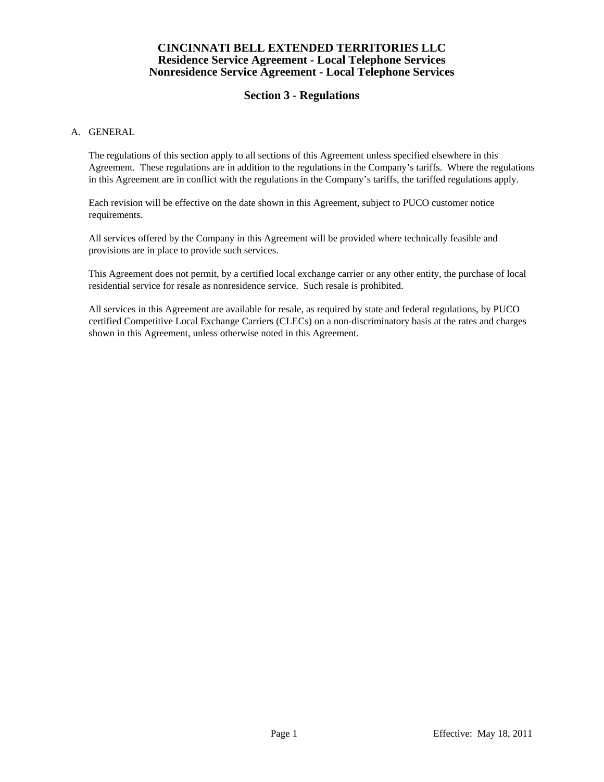# **Section 3 - Regulations**

### A. GENERAL

 The regulations of this section apply to all sections of this Agreement unless specified elsewhere in this Agreement. These regulations are in addition to the regulations in the Company's tariffs. Where the regulations in this Agreement are in conflict with the regulations in the Company's tariffs, the tariffed regulations apply.

 Each revision will be effective on the date shown in this Agreement, subject to PUCO customer notice requirements.

 All services offered by the Company in this Agreement will be provided where technically feasible and provisions are in place to provide such services.

 This Agreement does not permit, by a certified local exchange carrier or any other entity, the purchase of local residential service for resale as nonresidence service. Such resale is prohibited.

 All services in this Agreement are available for resale, as required by state and federal regulations, by PUCO certified Competitive Local Exchange Carriers (CLECs) on a non-discriminatory basis at the rates and charges shown in this Agreement, unless otherwise noted in this Agreement.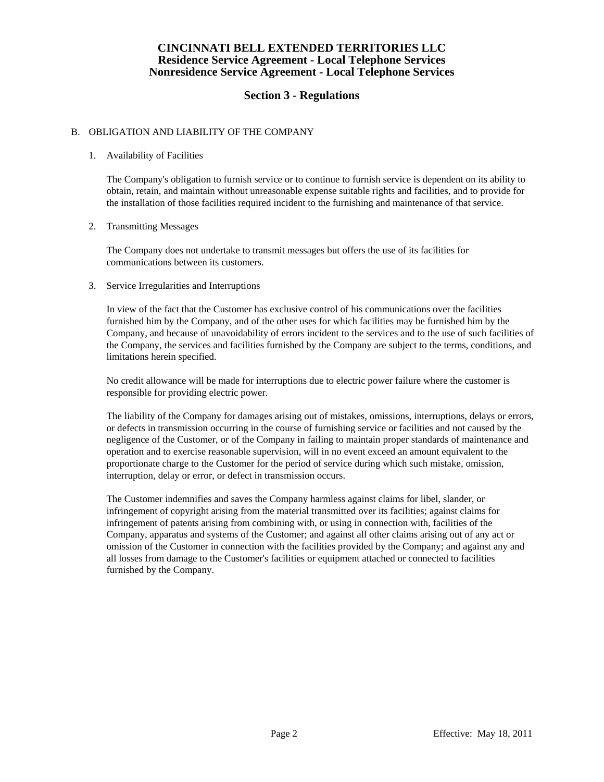# **Section 3 - Regulations**

### B. OBLIGATION AND LIABILITY OF THE COMPANY

### 1. Availability of Facilities

 The Company's obligation to furnish service or to continue to furnish service is dependent on its ability to obtain, retain, and maintain without unreasonable expense suitable rights and facilities, and to provide for the installation of those facilities required incident to the furnishing and maintenance of that service.

### 2. Transmitting Messages

 The Company does not undertake to transmit messages but offers the use of its facilities for communications between its customers.

### 3. Service Irregularities and Interruptions

 In view of the fact that the Customer has exclusive control of his communications over the facilities furnished him by the Company, and of the other uses for which facilities may be furnished him by the Company, and because of unavoidability of errors incident to the services and to the use of such facilities of the Company, the services and facilities furnished by the Company are subject to the terms, conditions, and limitations herein specified.

 No credit allowance will be made for interruptions due to electric power failure where the customer is responsible for providing electric power.

 The liability of the Company for damages arising out of mistakes, omissions, interruptions, delays or errors, or defects in transmission occurring in the course of furnishing service or facilities and not caused by the negligence of the Customer, or of the Company in failing to maintain proper standards of maintenance and operation and to exercise reasonable supervision, will in no event exceed an amount equivalent to the proportionate charge to the Customer for the period of service during which such mistake, omission, interruption, delay or error, or defect in transmission occurs.

 The Customer indemnifies and saves the Company harmless against claims for libel, slander, or infringement of copyright arising from the material transmitted over its facilities; against claims for infringement of patents arising from combining with, or using in connection with, facilities of the Company, apparatus and systems of the Customer; and against all other claims arising out of any act or omission of the Customer in connection with the facilities provided by the Company; and against any and all losses from damage to the Customer's facilities or equipment attached or connected to facilities furnished by the Company.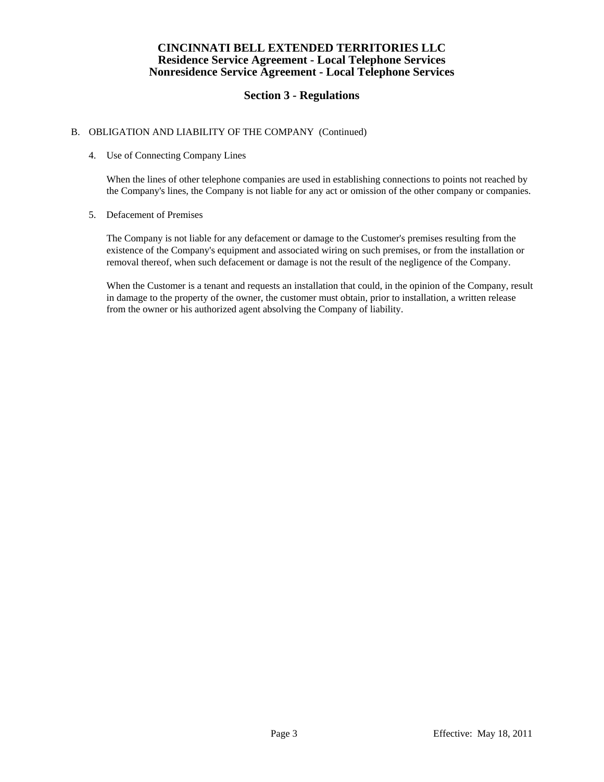# **Section 3 - Regulations**

## B. OBLIGATION AND LIABILITY OF THE COMPANY (Continued)

### 4. Use of Connecting Company Lines

 When the lines of other telephone companies are used in establishing connections to points not reached by the Company's lines, the Company is not liable for any act or omission of the other company or companies.

### 5. Defacement of Premises

 The Company is not liable for any defacement or damage to the Customer's premises resulting from the existence of the Company's equipment and associated wiring on such premises, or from the installation or removal thereof, when such defacement or damage is not the result of the negligence of the Company.

 When the Customer is a tenant and requests an installation that could, in the opinion of the Company, result in damage to the property of the owner, the customer must obtain, prior to installation, a written release from the owner or his authorized agent absolving the Company of liability.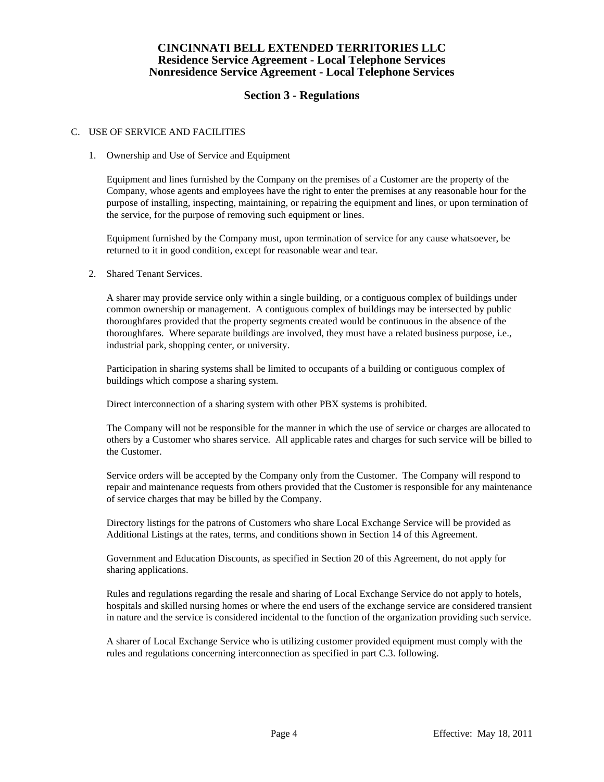# **Section 3 - Regulations**

### C. USE OF SERVICE AND FACILITIES

### 1. Ownership and Use of Service and Equipment

 Equipment and lines furnished by the Company on the premises of a Customer are the property of the Company, whose agents and employees have the right to enter the premises at any reasonable hour for the purpose of installing, inspecting, maintaining, or repairing the equipment and lines, or upon termination of the service, for the purpose of removing such equipment or lines.

 Equipment furnished by the Company must, upon termination of service for any cause whatsoever, be returned to it in good condition, except for reasonable wear and tear.

### 2. Shared Tenant Services.

 A sharer may provide service only within a single building, or a contiguous complex of buildings under common ownership or management. A contiguous complex of buildings may be intersected by public thoroughfares provided that the property segments created would be continuous in the absence of the thoroughfares. Where separate buildings are involved, they must have a related business purpose, i.e., industrial park, shopping center, or university.

 Participation in sharing systems shall be limited to occupants of a building or contiguous complex of buildings which compose a sharing system.

Direct interconnection of a sharing system with other PBX systems is prohibited.

 The Company will not be responsible for the manner in which the use of service or charges are allocated to others by a Customer who shares service. All applicable rates and charges for such service will be billed to the Customer.

 Service orders will be accepted by the Company only from the Customer. The Company will respond to repair and maintenance requests from others provided that the Customer is responsible for any maintenance of service charges that may be billed by the Company.

 Directory listings for the patrons of Customers who share Local Exchange Service will be provided as Additional Listings at the rates, terms, and conditions shown in Section 14 of this Agreement.

 Government and Education Discounts, as specified in Section 20 of this Agreement, do not apply for sharing applications.

 Rules and regulations regarding the resale and sharing of Local Exchange Service do not apply to hotels, hospitals and skilled nursing homes or where the end users of the exchange service are considered transient in nature and the service is considered incidental to the function of the organization providing such service.

 A sharer of Local Exchange Service who is utilizing customer provided equipment must comply with the rules and regulations concerning interconnection as specified in part C.3. following.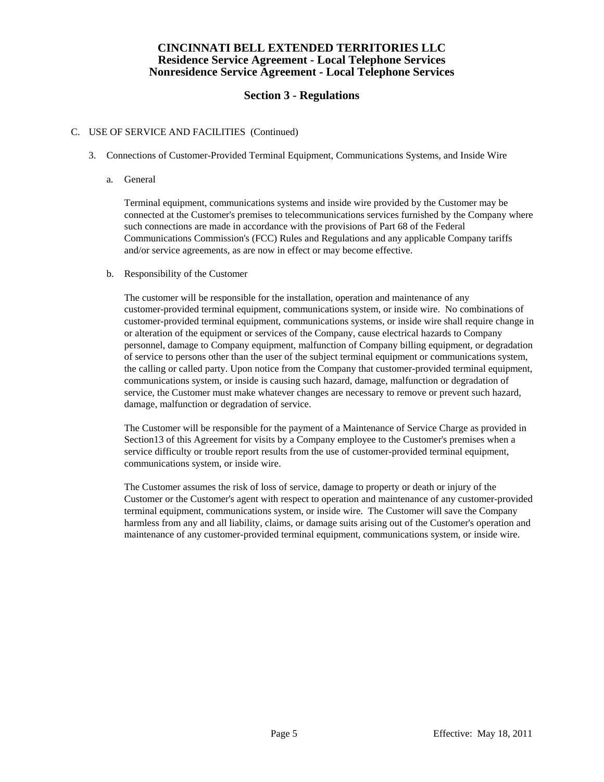# **Section 3 - Regulations**

### C. USE OF SERVICE AND FACILITIES (Continued)

- 3. Connections of Customer-Provided Terminal Equipment, Communications Systems, and Inside Wire
	- a. General

 Terminal equipment, communications systems and inside wire provided by the Customer may be connected at the Customer's premises to telecommunications services furnished by the Company where such connections are made in accordance with the provisions of Part 68 of the Federal Communications Commission's (FCC) Rules and Regulations and any applicable Company tariffs and/or service agreements, as are now in effect or may become effective.

b. Responsibility of the Customer

 The customer will be responsible for the installation, operation and maintenance of any customer-provided terminal equipment, communications system, or inside wire. No combinations of customer-provided terminal equipment, communications systems, or inside wire shall require change in or alteration of the equipment or services of the Company, cause electrical hazards to Company personnel, damage to Company equipment, malfunction of Company billing equipment, or degradation of service to persons other than the user of the subject terminal equipment or communications system, the calling or called party. Upon notice from the Company that customer-provided terminal equipment, communications system, or inside is causing such hazard, damage, malfunction or degradation of service, the Customer must make whatever changes are necessary to remove or prevent such hazard, damage, malfunction or degradation of service.

 The Customer will be responsible for the payment of a Maintenance of Service Charge as provided in Section13 of this Agreement for visits by a Company employee to the Customer's premises when a service difficulty or trouble report results from the use of customer-provided terminal equipment, communications system, or inside wire.

 The Customer assumes the risk of loss of service, damage to property or death or injury of the Customer or the Customer's agent with respect to operation and maintenance of any customer-provided terminal equipment, communications system, or inside wire. The Customer will save the Company harmless from any and all liability, claims, or damage suits arising out of the Customer's operation and maintenance of any customer-provided terminal equipment, communications system, or inside wire.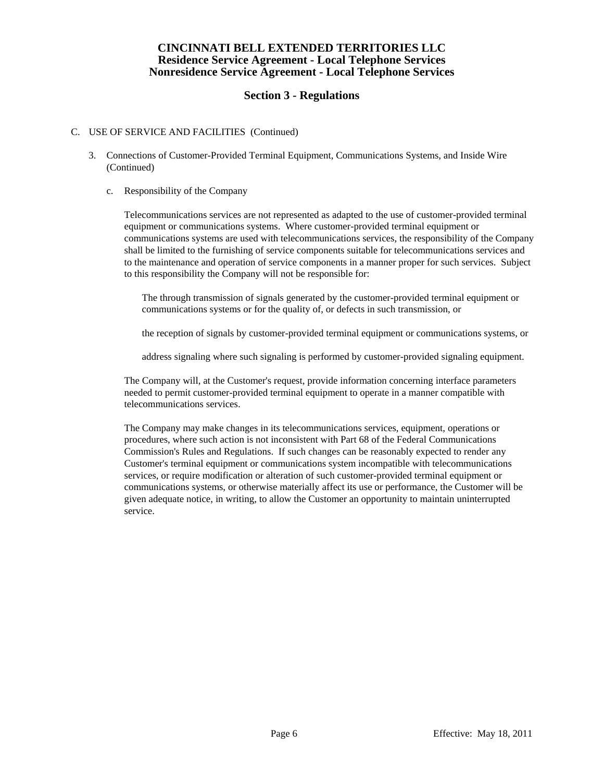# **Section 3 - Regulations**

### C. USE OF SERVICE AND FACILITIES (Continued)

- 3. Connections of Customer-Provided Terminal Equipment, Communications Systems, and Inside Wire (Continued)
	- c. Responsibility of the Company

 Telecommunications services are not represented as adapted to the use of customer-provided terminal equipment or communications systems. Where customer-provided terminal equipment or communications systems are used with telecommunications services, the responsibility of the Company shall be limited to the furnishing of service components suitable for telecommunications services and to the maintenance and operation of service components in a manner proper for such services. Subject to this responsibility the Company will not be responsible for:

 The through transmission of signals generated by the customer-provided terminal equipment or communications systems or for the quality of, or defects in such transmission, or

the reception of signals by customer-provided terminal equipment or communications systems, or

address signaling where such signaling is performed by customer-provided signaling equipment.

 The Company will, at the Customer's request, provide information concerning interface parameters needed to permit customer-provided terminal equipment to operate in a manner compatible with telecommunications services.

 The Company may make changes in its telecommunications services, equipment, operations or procedures, where such action is not inconsistent with Part 68 of the Federal Communications Commission's Rules and Regulations. If such changes can be reasonably expected to render any Customer's terminal equipment or communications system incompatible with telecommunications services, or require modification or alteration of such customer-provided terminal equipment or communications systems, or otherwise materially affect its use or performance, the Customer will be given adequate notice, in writing, to allow the Customer an opportunity to maintain uninterrupted service.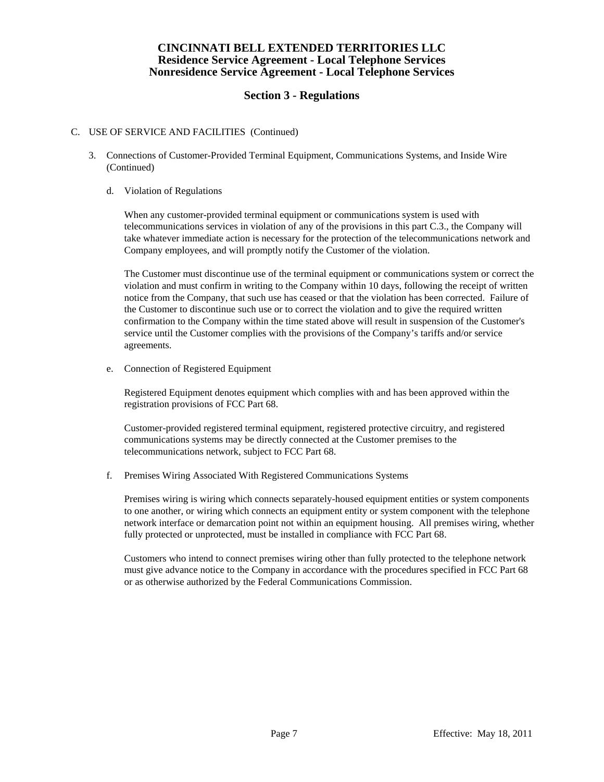# **Section 3 - Regulations**

### C. USE OF SERVICE AND FACILITIES (Continued)

- 3. Connections of Customer-Provided Terminal Equipment, Communications Systems, and Inside Wire (Continued)
	- d. Violation of Regulations

 When any customer-provided terminal equipment or communications system is used with telecommunications services in violation of any of the provisions in this part C.3., the Company will take whatever immediate action is necessary for the protection of the telecommunications network and Company employees, and will promptly notify the Customer of the violation.

 The Customer must discontinue use of the terminal equipment or communications system or correct the violation and must confirm in writing to the Company within 10 days, following the receipt of written notice from the Company, that such use has ceased or that the violation has been corrected. Failure of the Customer to discontinue such use or to correct the violation and to give the required written confirmation to the Company within the time stated above will result in suspension of the Customer's service until the Customer complies with the provisions of the Company's tariffs and/or service agreements.

e. Connection of Registered Equipment

 Registered Equipment denotes equipment which complies with and has been approved within the registration provisions of FCC Part 68.

 Customer-provided registered terminal equipment, registered protective circuitry, and registered communications systems may be directly connected at the Customer premises to the telecommunications network, subject to FCC Part 68.

f. Premises Wiring Associated With Registered Communications Systems

 Premises wiring is wiring which connects separately-housed equipment entities or system components to one another, or wiring which connects an equipment entity or system component with the telephone network interface or demarcation point not within an equipment housing. All premises wiring, whether fully protected or unprotected, must be installed in compliance with FCC Part 68.

 Customers who intend to connect premises wiring other than fully protected to the telephone network must give advance notice to the Company in accordance with the procedures specified in FCC Part 68 or as otherwise authorized by the Federal Communications Commission.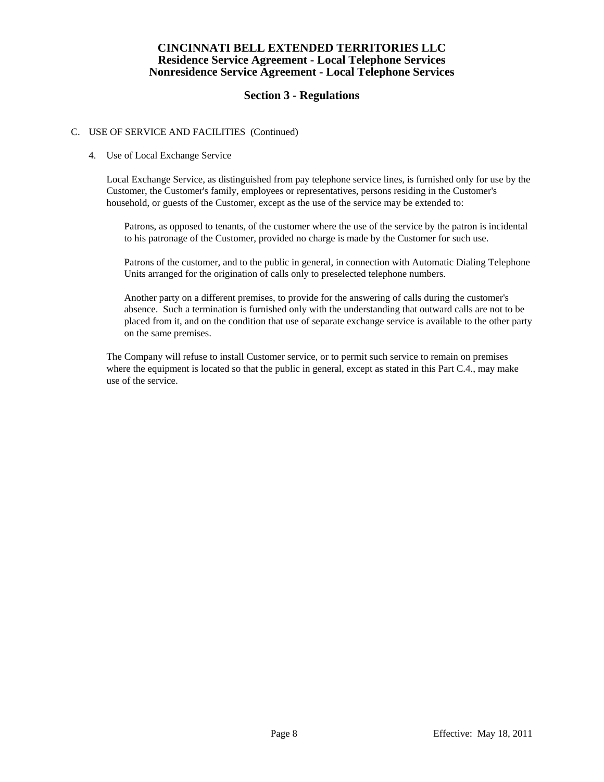# **Section 3 - Regulations**

## C. USE OF SERVICE AND FACILITIES (Continued)

### 4. Use of Local Exchange Service

 Local Exchange Service, as distinguished from pay telephone service lines, is furnished only for use by the Customer, the Customer's family, employees or representatives, persons residing in the Customer's household, or guests of the Customer, except as the use of the service may be extended to:

 Patrons, as opposed to tenants, of the customer where the use of the service by the patron is incidental to his patronage of the Customer, provided no charge is made by the Customer for such use.

 Patrons of the customer, and to the public in general, in connection with Automatic Dialing Telephone Units arranged for the origination of calls only to preselected telephone numbers.

 Another party on a different premises, to provide for the answering of calls during the customer's absence. Such a termination is furnished only with the understanding that outward calls are not to be placed from it, and on the condition that use of separate exchange service is available to the other party on the same premises.

 The Company will refuse to install Customer service, or to permit such service to remain on premises where the equipment is located so that the public in general, except as stated in this Part C.4., may make use of the service.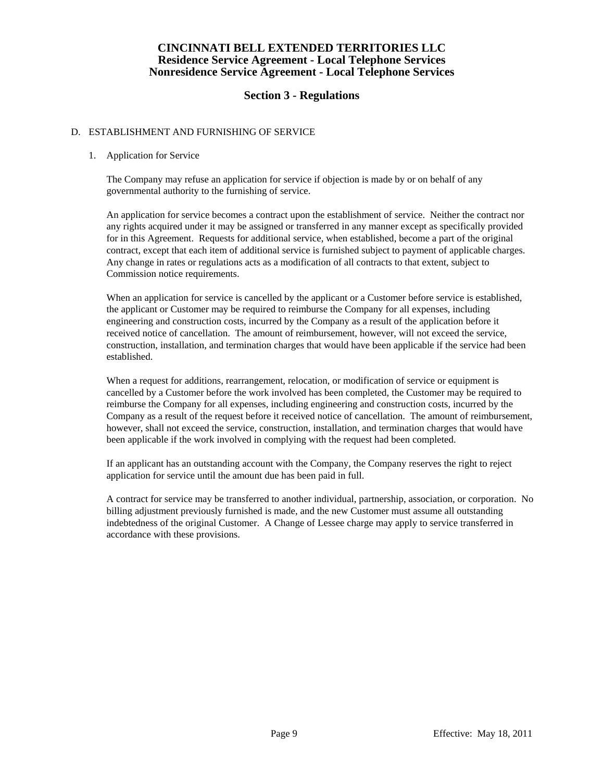# **Section 3 - Regulations**

### D. ESTABLISHMENT AND FURNISHING OF SERVICE

### 1. Application for Service

 The Company may refuse an application for service if objection is made by or on behalf of any governmental authority to the furnishing of service.

 An application for service becomes a contract upon the establishment of service. Neither the contract nor any rights acquired under it may be assigned or transferred in any manner except as specifically provided for in this Agreement. Requests for additional service, when established, become a part of the original contract, except that each item of additional service is furnished subject to payment of applicable charges. Any change in rates or regulations acts as a modification of all contracts to that extent, subject to Commission notice requirements.

 When an application for service is cancelled by the applicant or a Customer before service is established, the applicant or Customer may be required to reimburse the Company for all expenses, including engineering and construction costs, incurred by the Company as a result of the application before it received notice of cancellation. The amount of reimbursement, however, will not exceed the service, construction, installation, and termination charges that would have been applicable if the service had been established.

 When a request for additions, rearrangement, relocation, or modification of service or equipment is cancelled by a Customer before the work involved has been completed, the Customer may be required to reimburse the Company for all expenses, including engineering and construction costs, incurred by the Company as a result of the request before it received notice of cancellation. The amount of reimbursement, however, shall not exceed the service, construction, installation, and termination charges that would have been applicable if the work involved in complying with the request had been completed.

 If an applicant has an outstanding account with the Company, the Company reserves the right to reject application for service until the amount due has been paid in full.

 A contract for service may be transferred to another individual, partnership, association, or corporation. No billing adjustment previously furnished is made, and the new Customer must assume all outstanding indebtedness of the original Customer. A Change of Lessee charge may apply to service transferred in accordance with these provisions.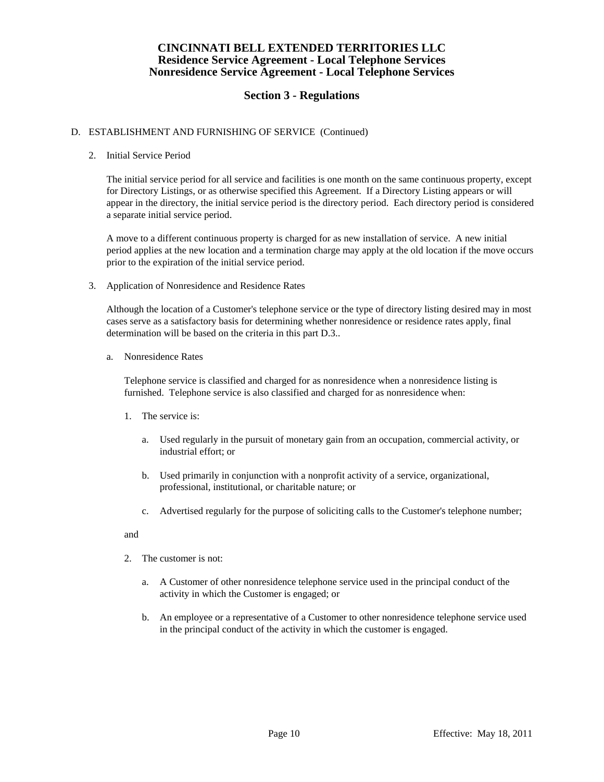# **Section 3 - Regulations**

### D. ESTABLISHMENT AND FURNISHING OF SERVICE (Continued)

### 2. Initial Service Period

 The initial service period for all service and facilities is one month on the same continuous property, except for Directory Listings, or as otherwise specified this Agreement. If a Directory Listing appears or will appear in the directory, the initial service period is the directory period. Each directory period is considered a separate initial service period.

 A move to a different continuous property is charged for as new installation of service. A new initial period applies at the new location and a termination charge may apply at the old location if the move occurs prior to the expiration of the initial service period.

3. Application of Nonresidence and Residence Rates

 Although the location of a Customer's telephone service or the type of directory listing desired may in most cases serve as a satisfactory basis for determining whether nonresidence or residence rates apply, final determination will be based on the criteria in this part D.3..

a. Nonresidence Rates

 Telephone service is classified and charged for as nonresidence when a nonresidence listing is furnished. Telephone service is also classified and charged for as nonresidence when:

- 1. The service is:
	- a. Used regularly in the pursuit of monetary gain from an occupation, commercial activity, or industrial effort; or
	- b. Used primarily in conjunction with a nonprofit activity of a service, organizational, professional, institutional, or charitable nature; or
	- c. Advertised regularly for the purpose of soliciting calls to the Customer's telephone number;

### and

- 2. The customer is not:
	- a. A Customer of other nonresidence telephone service used in the principal conduct of the activity in which the Customer is engaged; or
	- b. An employee or a representative of a Customer to other nonresidence telephone service used in the principal conduct of the activity in which the customer is engaged.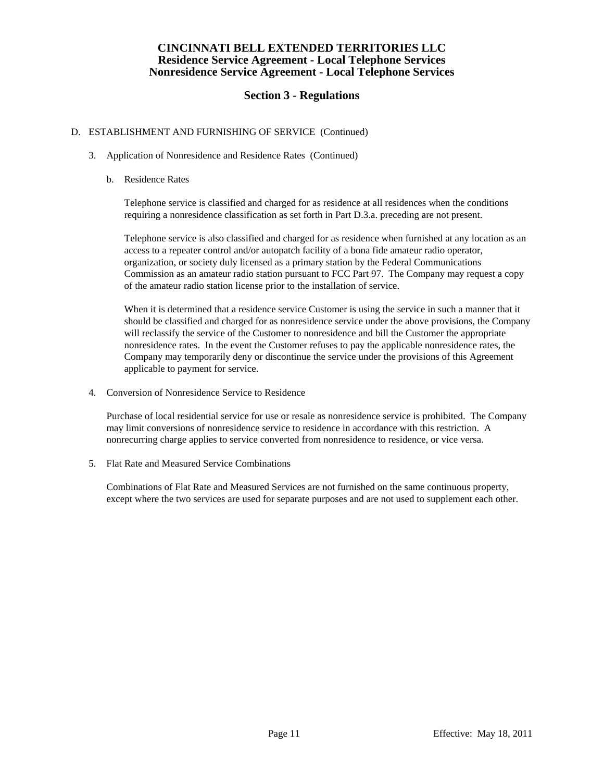# **Section 3 - Regulations**

## D. ESTABLISHMENT AND FURNISHING OF SERVICE (Continued)

- 3. Application of Nonresidence and Residence Rates (Continued)
	- b. Residence Rates

 Telephone service is classified and charged for as residence at all residences when the conditions requiring a nonresidence classification as set forth in Part D.3.a. preceding are not present.

 Telephone service is also classified and charged for as residence when furnished at any location as an access to a repeater control and/or autopatch facility of a bona fide amateur radio operator, organization, or society duly licensed as a primary station by the Federal Communications Commission as an amateur radio station pursuant to FCC Part 97. The Company may request a copy of the amateur radio station license prior to the installation of service.

 When it is determined that a residence service Customer is using the service in such a manner that it should be classified and charged for as nonresidence service under the above provisions, the Company will reclassify the service of the Customer to nonresidence and bill the Customer the appropriate nonresidence rates. In the event the Customer refuses to pay the applicable nonresidence rates, the Company may temporarily deny or discontinue the service under the provisions of this Agreement applicable to payment for service.

4. Conversion of Nonresidence Service to Residence

 Purchase of local residential service for use or resale as nonresidence service is prohibited. The Company may limit conversions of nonresidence service to residence in accordance with this restriction. A nonrecurring charge applies to service converted from nonresidence to residence, or vice versa.

5. Flat Rate and Measured Service Combinations

 Combinations of Flat Rate and Measured Services are not furnished on the same continuous property, except where the two services are used for separate purposes and are not used to supplement each other.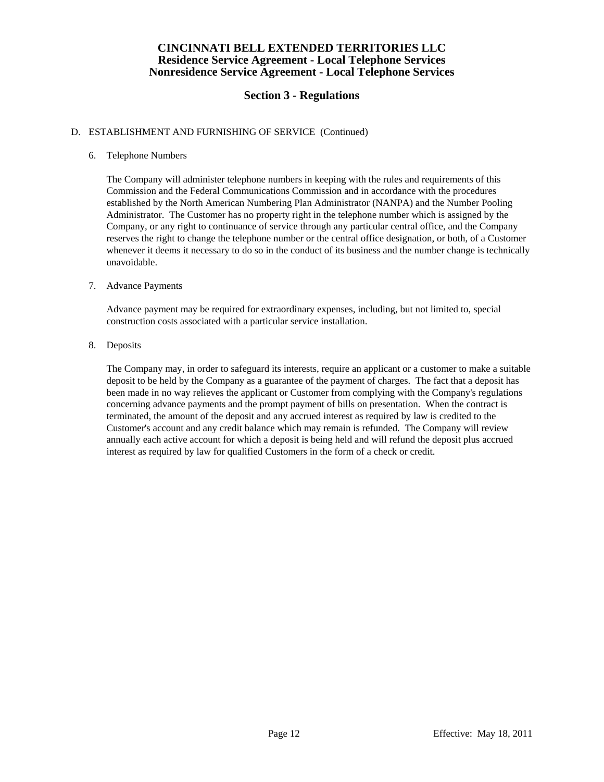# **Section 3 - Regulations**

### D. ESTABLISHMENT AND FURNISHING OF SERVICE (Continued)

### 6. Telephone Numbers

 The Company will administer telephone numbers in keeping with the rules and requirements of this Commission and the Federal Communications Commission and in accordance with the procedures established by the North American Numbering Plan Administrator (NANPA) and the Number Pooling Administrator. The Customer has no property right in the telephone number which is assigned by the Company, or any right to continuance of service through any particular central office, and the Company reserves the right to change the telephone number or the central office designation, or both, of a Customer whenever it deems it necessary to do so in the conduct of its business and the number change is technically unavoidable.

### 7. Advance Payments

 Advance payment may be required for extraordinary expenses, including, but not limited to, special construction costs associated with a particular service installation.

### 8. Deposits

 The Company may, in order to safeguard its interests, require an applicant or a customer to make a suitable deposit to be held by the Company as a guarantee of the payment of charges. The fact that a deposit has been made in no way relieves the applicant or Customer from complying with the Company's regulations concerning advance payments and the prompt payment of bills on presentation. When the contract is terminated, the amount of the deposit and any accrued interest as required by law is credited to the Customer's account and any credit balance which may remain is refunded. The Company will review annually each active account for which a deposit is being held and will refund the deposit plus accrued interest as required by law for qualified Customers in the form of a check or credit.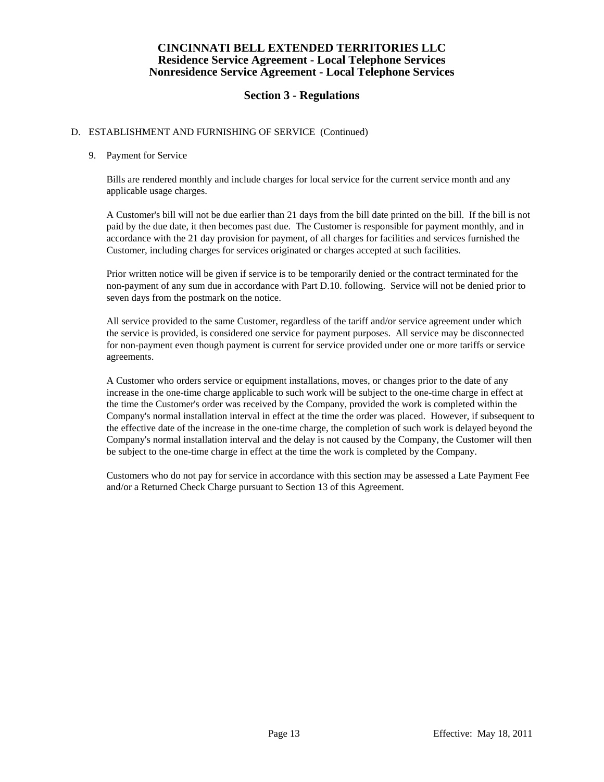# **Section 3 - Regulations**

### D. ESTABLISHMENT AND FURNISHING OF SERVICE (Continued)

### 9. Payment for Service

 Bills are rendered monthly and include charges for local service for the current service month and any applicable usage charges.

 A Customer's bill will not be due earlier than 21 days from the bill date printed on the bill. If the bill is not paid by the due date, it then becomes past due. The Customer is responsible for payment monthly, and in accordance with the 21 day provision for payment, of all charges for facilities and services furnished the Customer, including charges for services originated or charges accepted at such facilities.

 Prior written notice will be given if service is to be temporarily denied or the contract terminated for the non-payment of any sum due in accordance with Part D.10. following. Service will not be denied prior to seven days from the postmark on the notice.

 All service provided to the same Customer, regardless of the tariff and/or service agreement under which the service is provided, is considered one service for payment purposes. All service may be disconnected for non-payment even though payment is current for service provided under one or more tariffs or service agreements.

 A Customer who orders service or equipment installations, moves, or changes prior to the date of any increase in the one-time charge applicable to such work will be subject to the one-time charge in effect at the time the Customer's order was received by the Company, provided the work is completed within the Company's normal installation interval in effect at the time the order was placed. However, if subsequent to the effective date of the increase in the one-time charge, the completion of such work is delayed beyond the Company's normal installation interval and the delay is not caused by the Company, the Customer will then be subject to the one-time charge in effect at the time the work is completed by the Company.

 Customers who do not pay for service in accordance with this section may be assessed a Late Payment Fee and/or a Returned Check Charge pursuant to Section 13 of this Agreement.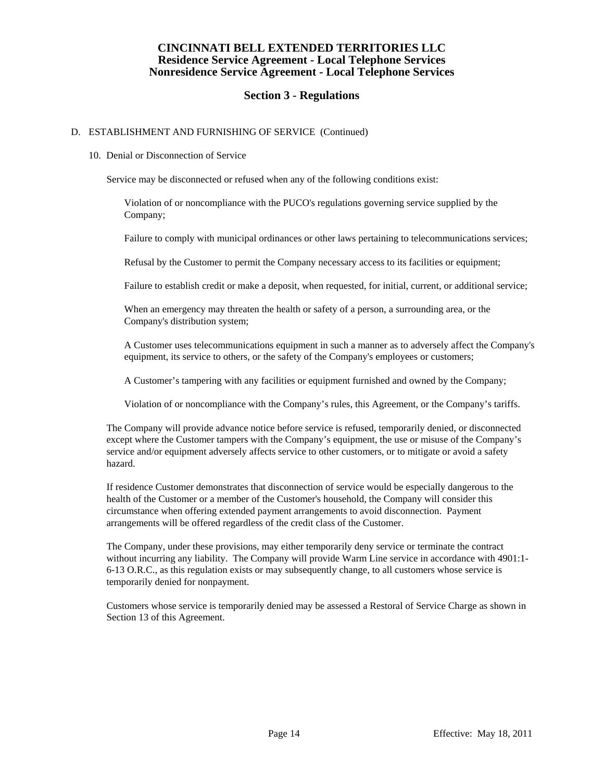# **Section 3 - Regulations**

### D. ESTABLISHMENT AND FURNISHING OF SERVICE (Continued)

### 10. Denial or Disconnection of Service

Service may be disconnected or refused when any of the following conditions exist:

 Violation of or noncompliance with the PUCO's regulations governing service supplied by the Company;

Failure to comply with municipal ordinances or other laws pertaining to telecommunications services;

Refusal by the Customer to permit the Company necessary access to its facilities or equipment;

Failure to establish credit or make a deposit, when requested, for initial, current, or additional service;

 When an emergency may threaten the health or safety of a person, a surrounding area, or the Company's distribution system;

 A Customer uses telecommunications equipment in such a manner as to adversely affect the Company's equipment, its service to others, or the safety of the Company's employees or customers;

A Customer's tampering with any facilities or equipment furnished and owned by the Company;

Violation of or noncompliance with the Company's rules, this Agreement, or the Company's tariffs.

 The Company will provide advance notice before service is refused, temporarily denied, or disconnected except where the Customer tampers with the Company's equipment, the use or misuse of the Company's service and/or equipment adversely affects service to other customers, or to mitigate or avoid a safety hazard.

 If residence Customer demonstrates that disconnection of service would be especially dangerous to the health of the Customer or a member of the Customer's household, the Company will consider this circumstance when offering extended payment arrangements to avoid disconnection. Payment arrangements will be offered regardless of the credit class of the Customer.

 The Company, under these provisions, may either temporarily deny service or terminate the contract without incurring any liability. The Company will provide Warm Line service in accordance with 4901:1-6-13 O.R.C., as this regulation exists or may subsequently change, to all customers whose service is temporarily denied for nonpayment.

 Customers whose service is temporarily denied may be assessed a Restoral of Service Charge as shown in Section 13 of this Agreement.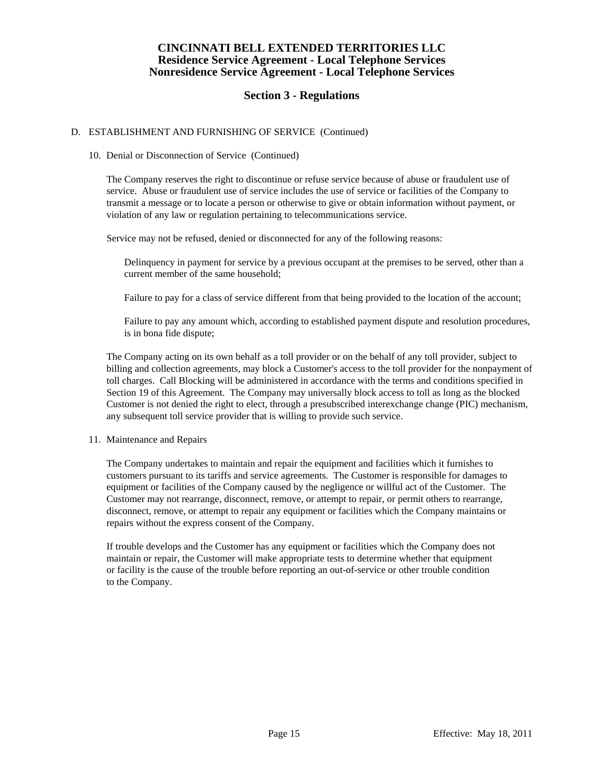# **Section 3 - Regulations**

### D. ESTABLISHMENT AND FURNISHING OF SERVICE (Continued)

### 10. Denial or Disconnection of Service (Continued)

 The Company reserves the right to discontinue or refuse service because of abuse or fraudulent use of service. Abuse or fraudulent use of service includes the use of service or facilities of the Company to transmit a message or to locate a person or otherwise to give or obtain information without payment, or violation of any law or regulation pertaining to telecommunications service.

Service may not be refused, denied or disconnected for any of the following reasons:

 Delinquency in payment for service by a previous occupant at the premises to be served, other than a current member of the same household;

Failure to pay for a class of service different from that being provided to the location of the account;

 Failure to pay any amount which, according to established payment dispute and resolution procedures, is in bona fide dispute;

 The Company acting on its own behalf as a toll provider or on the behalf of any toll provider, subject to billing and collection agreements, may block a Customer's access to the toll provider for the nonpayment of toll charges. Call Blocking will be administered in accordance with the terms and conditions specified in Section 19 of this Agreement. The Company may universally block access to toll as long as the blocked Customer is not denied the right to elect, through a presubscribed interexchange change (PIC) mechanism, any subsequent toll service provider that is willing to provide such service.

### 11. Maintenance and Repairs

 The Company undertakes to maintain and repair the equipment and facilities which it furnishes to customers pursuant to its tariffs and service agreements. The Customer is responsible for damages to equipment or facilities of the Company caused by the negligence or willful act of the Customer. The Customer may not rearrange, disconnect, remove, or attempt to repair, or permit others to rearrange, disconnect, remove, or attempt to repair any equipment or facilities which the Company maintains or repairs without the express consent of the Company.

 If trouble develops and the Customer has any equipment or facilities which the Company does not maintain or repair, the Customer will make appropriate tests to determine whether that equipment or facility is the cause of the trouble before reporting an out-of-service or other trouble condition to the Company.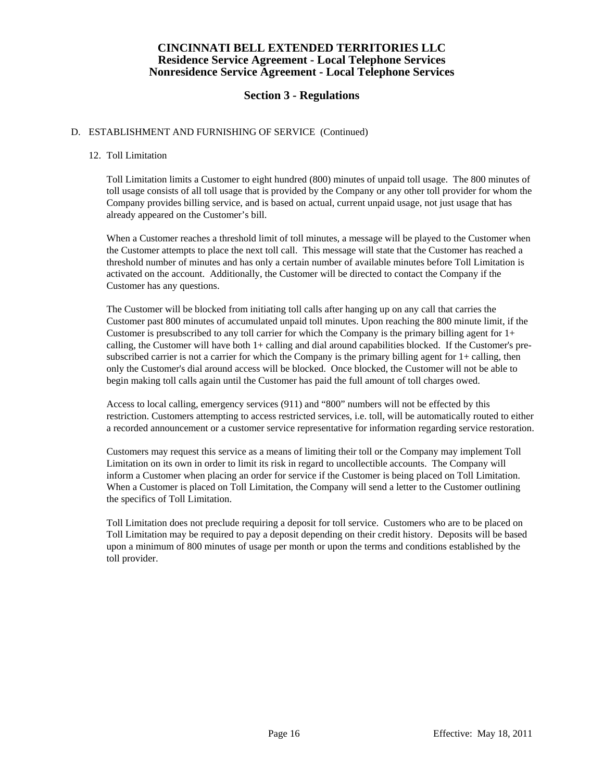# **Section 3 - Regulations**

## D. ESTABLISHMENT AND FURNISHING OF SERVICE (Continued)

### 12. Toll Limitation

 Toll Limitation limits a Customer to eight hundred (800) minutes of unpaid toll usage. The 800 minutes of toll usage consists of all toll usage that is provided by the Company or any other toll provider for whom the Company provides billing service, and is based on actual, current unpaid usage, not just usage that has already appeared on the Customer's bill.

 When a Customer reaches a threshold limit of toll minutes, a message will be played to the Customer when the Customer attempts to place the next toll call. This message will state that the Customer has reached a threshold number of minutes and has only a certain number of available minutes before Toll Limitation is activated on the account. Additionally, the Customer will be directed to contact the Company if the Customer has any questions.

 The Customer will be blocked from initiating toll calls after hanging up on any call that carries the Customer past 800 minutes of accumulated unpaid toll minutes. Upon reaching the 800 minute limit, if the Customer is presubscribed to any toll carrier for which the Company is the primary billing agent for  $1+$ calling, the Customer will have both 1+ calling and dial around capabilities blocked. If the Customer's presubscribed carrier is not a carrier for which the Company is the primary billing agent for  $1+$  calling, then only the Customer's dial around access will be blocked. Once blocked, the Customer will not be able to begin making toll calls again until the Customer has paid the full amount of toll charges owed.

 Access to local calling, emergency services (911) and "800" numbers will not be effected by this restriction. Customers attempting to access restricted services, i.e. toll, will be automatically routed to either a recorded announcement or a customer service representative for information regarding service restoration.

 Customers may request this service as a means of limiting their toll or the Company may implement Toll Limitation on its own in order to limit its risk in regard to uncollectible accounts. The Company will inform a Customer when placing an order for service if the Customer is being placed on Toll Limitation. When a Customer is placed on Toll Limitation, the Company will send a letter to the Customer outlining the specifics of Toll Limitation.

 Toll Limitation does not preclude requiring a deposit for toll service. Customers who are to be placed on Toll Limitation may be required to pay a deposit depending on their credit history. Deposits will be based upon a minimum of 800 minutes of usage per month or upon the terms and conditions established by the toll provider.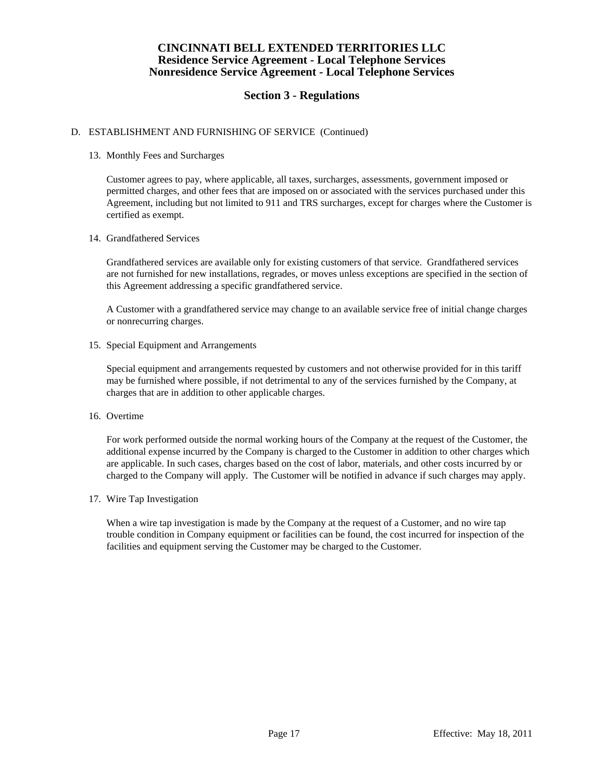# **Section 3 - Regulations**

### D. ESTABLISHMENT AND FURNISHING OF SERVICE (Continued)

### 13. Monthly Fees and Surcharges

 Customer agrees to pay, where applicable, all taxes, surcharges, assessments, government imposed or permitted charges, and other fees that are imposed on or associated with the services purchased under this Agreement, including but not limited to 911 and TRS surcharges, except for charges where the Customer is certified as exempt.

### 14. Grandfathered Services

 Grandfathered services are available only for existing customers of that service. Grandfathered services are not furnished for new installations, regrades, or moves unless exceptions are specified in the section of this Agreement addressing a specific grandfathered service.

 A Customer with a grandfathered service may change to an available service free of initial change charges or nonrecurring charges.

15. Special Equipment and Arrangements

 Special equipment and arrangements requested by customers and not otherwise provided for in this tariff may be furnished where possible, if not detrimental to any of the services furnished by the Company, at charges that are in addition to other applicable charges.

16. Overtime

 For work performed outside the normal working hours of the Company at the request of the Customer, the additional expense incurred by the Company is charged to the Customer in addition to other charges which are applicable. In such cases, charges based on the cost of labor, materials, and other costs incurred by or charged to the Company will apply. The Customer will be notified in advance if such charges may apply.

17. Wire Tap Investigation

 When a wire tap investigation is made by the Company at the request of a Customer, and no wire tap trouble condition in Company equipment or facilities can be found, the cost incurred for inspection of the facilities and equipment serving the Customer may be charged to the Customer.